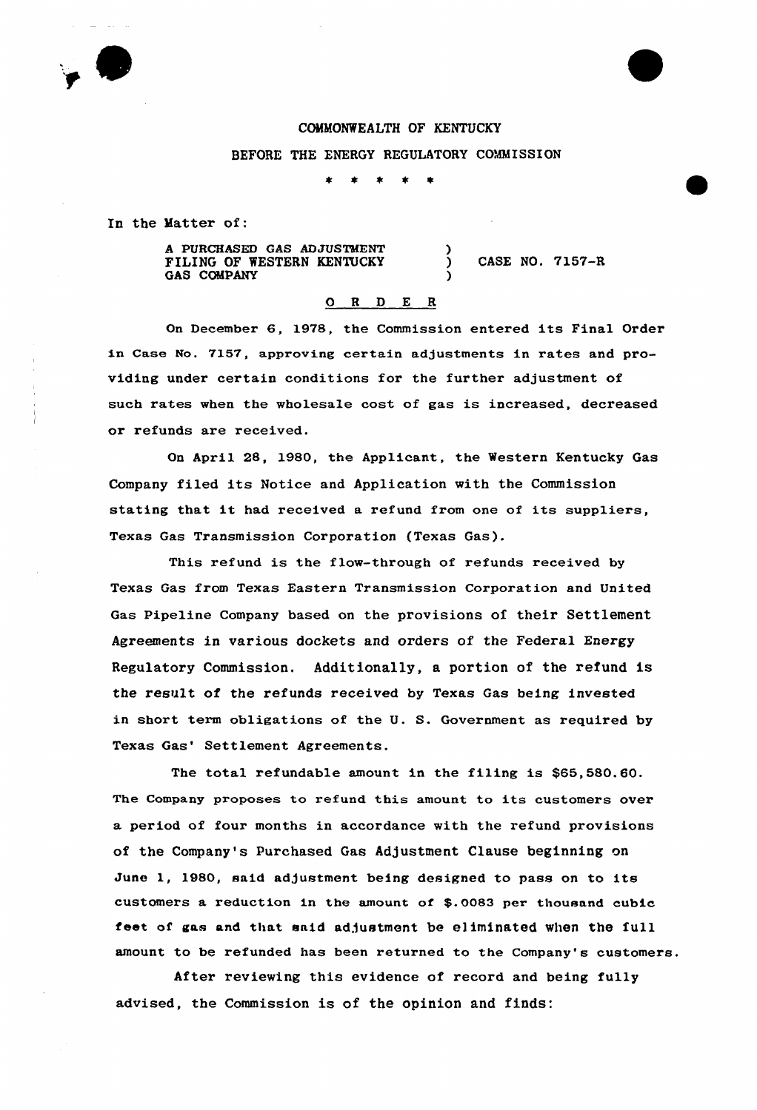

## COMMONWEALTH OF KENTUCKY

BEFORE THE ENERGY REGULATORY COMMISSION

)

)

 $\star$  $\star$ 

In the Matter of:

A PURCHASED GAS AD JUSTMENT FILING OF WESTERN KENTUCKY GAS COMPANY

) CASE NO. 7157-R

## 0 <sup>R</sup> <sup>D</sup> E <sup>R</sup>

On December 6, 1978, the Commission entered its Final Order in Case No. 7l57, approving certain adjustments in rates and providing under certain conditions for the further adjustment of such rates when the wholesale cost of gas is increased, decreased or refunds are received.

On April 28, 1980, the Applicant, the Western Kentucky Gas Company filed its Notice and Application with the Commission stating that it had received <sup>a</sup> refund from one of its suppliers, Texas Gas Transmission Corporation {Texas Gas).

This refund is the flow-through of refunds received by Texas Gas from Texas Eastern Transmission Corporation and United Gas Pipeline Company based on the provisions of their Settlement Agreements in various doekets and orders of the Federal Energy Regulatory Commission, Additionally, a portion of the refund is the result of the refunds received by Texas Gas being invested in short term obligations of the U. S. Government as required by Texas Gas' Settlement Agreements.

The total refundable amount in the filing is \$65,580.60. The Company proposes to refund this amount to its customers over a period of four months in accordance with the refund provisions of the Company's purchased Gas Adjustment Clause beginning on June 1, 1980, said adjustment being designed to pass on to its customers a reduction in the amount of \$.0083 per thousand cubic feet of gas and that said adjustment be eliminated when the full amount to be refunded has been returned to the Company's customers.

After reviewing this evidence of record and being fully advised, the Commission is of the opinion and finds: